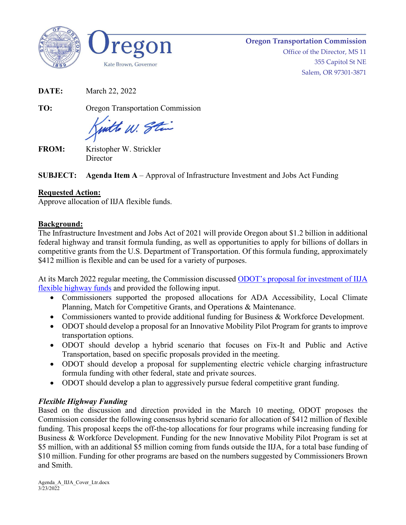



**Oregon Transportation Commission**

Office of the Director, MS 11 355 Capitol St NE Salem, OR 97301-3871

**DATE:** March 22, 2022

**TO:** Oregon Transportation Commission

with W. Stin

**FROM:** Kristopher W. Strickler **Director** 

**SUBJECT: Agenda Item A** – Approval of Infrastructure Investment and Jobs Act Funding

# **Requested Action:**

Approve allocation of IIJA flexible funds.

# **Background:**

The Infrastructure Investment and Jobs Act of 2021 will provide Oregon about \$1.2 billion in additional federal highway and transit formula funding, as well as opportunities to apply for billions of dollars in competitive grants from the U.S. Department of Transportation. Of this formula funding, approximately \$412 million is flexible and can be used for a variety of purposes.

At its March 2022 regular meeting, the Commission discussed [ODOT's proposal for investment of IIJA](https://www.oregon.gov/odot/Get-Involved/OTCSupportMaterials/Agenda_I_IIJA_Update_PACKET-Attach1-2.pdf)  [flexible highway funds](https://www.oregon.gov/odot/Get-Involved/OTCSupportMaterials/Agenda_I_IIJA_Update_PACKET-Attach1-2.pdf) and provided the following input.

- Commissioners supported the proposed allocations for ADA Accessibility, Local Climate Planning, Match for Competitive Grants, and Operations & Maintenance.
- Commissioners wanted to provide additional funding for Business & Workforce Development.
- ODOT should develop a proposal for an Innovative Mobility Pilot Program for grants to improve transportation options.
- ODOT should develop a hybrid scenario that focuses on Fix-It and Public and Active Transportation, based on specific proposals provided in the meeting.
- ODOT should develop a proposal for supplementing electric vehicle charging infrastructure formula funding with other federal, state and private sources.
- ODOT should develop a plan to aggressively pursue federal competitive grant funding.

# *Flexible Highway Funding*

Based on the discussion and direction provided in the March 10 meeting, ODOT proposes the Commission consider the following consensus hybrid scenario for allocation of \$412 million of flexible funding. This proposal keeps the off-the-top allocations for four programs while increasing funding for Business & Workforce Development. Funding for the new Innovative Mobility Pilot Program is set at \$5 million, with an additional \$5 million coming from funds outside the IIJA, for a total base funding of \$10 million. Funding for other programs are based on the numbers suggested by Commissioners Brown and Smith.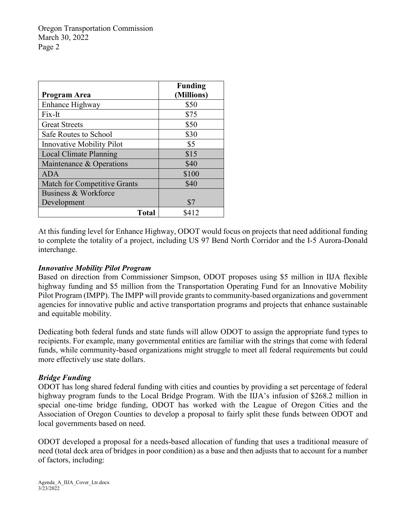Oregon Transportation Commission March 30, 2022 Page 2

| <b>Program Area</b>                 | <b>Funding</b><br>(Millions) |
|-------------------------------------|------------------------------|
| Enhance Highway                     | \$50                         |
| Fix-It                              | \$75                         |
| <b>Great Streets</b>                | \$50                         |
| <b>Safe Routes to School</b>        | \$30                         |
| <b>Innovative Mobility Pilot</b>    | \$5                          |
| Local Climate Planning              | \$15                         |
| Maintenance & Operations            | \$40                         |
| <b>ADA</b>                          | \$100                        |
| <b>Match for Competitive Grants</b> | \$40                         |
| Business & Workforce                |                              |
| Development                         | \$7                          |
| <b>Total</b>                        | \$412                        |

At this funding level for Enhance Highway, ODOT would focus on projects that need additional funding to complete the totality of a project, including US 97 Bend North Corridor and the I-5 Aurora-Donald interchange.

#### *Innovative Mobility Pilot Program*

Based on direction from Commissioner Simpson, ODOT proposes using \$5 million in IIJA flexible highway funding and \$5 million from the Transportation Operating Fund for an Innovative Mobility Pilot Program (IMPP). The IMPP will provide grants to community-based organizations and government agencies for innovative public and active transportation programs and projects that enhance sustainable and equitable mobility.

Dedicating both federal funds and state funds will allow ODOT to assign the appropriate fund types to recipients. For example, many governmental entities are familiar with the strings that come with federal funds, while community-based organizations might struggle to meet all federal requirements but could more effectively use state dollars.

## *Bridge Funding*

ODOT has long shared federal funding with cities and counties by providing a set percentage of federal highway program funds to the Local Bridge Program. With the IIJA's infusion of \$268.2 million in special one-time bridge funding, ODOT has worked with the League of Oregon Cities and the Association of Oregon Counties to develop a proposal to fairly split these funds between ODOT and local governments based on need.

ODOT developed a proposal for a needs-based allocation of funding that uses a traditional measure of need (total deck area of bridges in poor condition) as a base and then adjusts that to account for a number of factors, including:

Agenda\_A\_IIJA\_Cover\_Ltr.docx 3/23/2022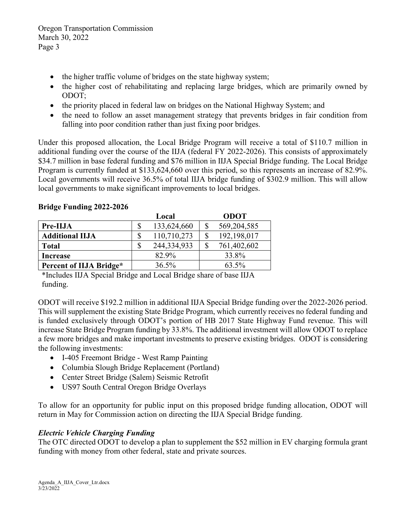Oregon Transportation Commission March 30, 2022 Page 3

- the higher traffic volume of bridges on the state highway system;
- the higher cost of rehabilitating and replacing large bridges, which are primarily owned by ODOT;
- the priority placed in federal law on bridges on the National Highway System; and
- the need to follow an asset management strategy that prevents bridges in fair condition from falling into poor condition rather than just fixing poor bridges.

Under this proposed allocation, the Local Bridge Program will receive a total of \$110.7 million in additional funding over the course of the IIJA (federal FY 2022-2026). This consists of approximately \$34.7 million in base federal funding and \$76 million in IIJA Special Bridge funding. The Local Bridge Program is currently funded at \$133,624,660 over this period, so this represents an increase of 82.9%. Local governments will receive 36.5% of total IIJA bridge funding of \$302.9 million. This will allow local governments to make significant improvements to local bridges.

|                         | Local |             | <b>ODOT</b> |               |
|-------------------------|-------|-------------|-------------|---------------|
| Pre-IIJA                | \$    | 133,624,660 |             | 569, 204, 585 |
| <b>Additional IIJA</b>  | \$    | 110,710,273 |             | 192,198,017   |
| <b>Total</b>            | \$    | 244,334,933 | \$          | 761,402,602   |
| Increase                |       | 82.9%       |             | 33.8%         |
| Percent of IIJA Bridge* |       | 36.5%       |             | 63.5%         |

## **Bridge Funding 2022-2026**

\*Includes IIJA Special Bridge and Local Bridge share of base IIJA funding.

ODOT will receive \$192.2 million in additional IIJA Special Bridge funding over the 2022-2026 period. This will supplement the existing State Bridge Program, which currently receives no federal funding and is funded exclusively through ODOT's portion of HB 2017 State Highway Fund revenue. This will increase State Bridge Program funding by 33.8%. The additional investment will allow ODOT to replace a few more bridges and make important investments to preserve existing bridges. ODOT is considering the following investments:

- I-405 Freemont Bridge West Ramp Painting
- Columbia Slough Bridge Replacement (Portland)
- Center Street Bridge (Salem) Seismic Retrofit
- US97 South Central Oregon Bridge Overlays

To allow for an opportunity for public input on this proposed bridge funding allocation, ODOT will return in May for Commission action on directing the IIJA Special Bridge funding.

## *Electric Vehicle Charging Funding*

The OTC directed ODOT to develop a plan to supplement the \$52 million in EV charging formula grant funding with money from other federal, state and private sources.